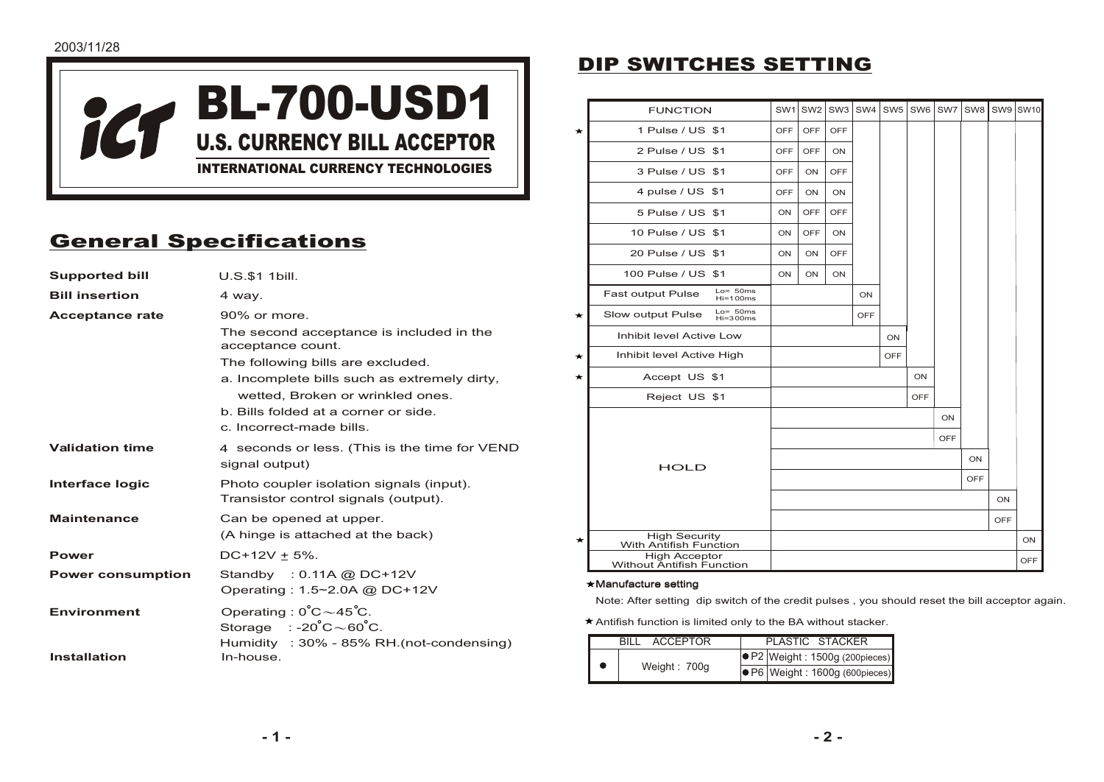

# General Specifications

| <b>Supported bill</b>    | U.S.\$1 1bill.                                                                            |  |  |
|--------------------------|-------------------------------------------------------------------------------------------|--|--|
| <b>Bill insertion</b>    | 4 way.                                                                                    |  |  |
| <b>Acceptance rate</b>   | $90\%$ or more.                                                                           |  |  |
|                          | The second acceptance is included in the<br>acceptance count.                             |  |  |
|                          | The following bills are excluded.                                                         |  |  |
|                          | a. Incomplete bills such as extremely dirty,                                              |  |  |
|                          | wetted, Broken or wrinkled ones.                                                          |  |  |
|                          | b. Bills folded at a corner or side.                                                      |  |  |
|                          | c. Incorrect-made bills.                                                                  |  |  |
| <b>Validation time</b>   | 4 seconds or less. (This is the time for VEND<br>signal output)                           |  |  |
| Interface logic          | Photo coupler isolation signals (input).<br>Transistor control signals (output).          |  |  |
| <b>Maintenance</b>       | Can be opened at upper.                                                                   |  |  |
|                          | (A hinge is attached at the back)                                                         |  |  |
| <b>Power</b>             | $DC+12V \pm 5\%$ .                                                                        |  |  |
| <b>Power consumption</b> | Standby : $0.11A$ @ DC+12V                                                                |  |  |
|                          | Operating: 1.5~2.0A @ DC+12V                                                              |  |  |
| <b>Environment</b>       | Operating: $0^{\circ}C \sim 45^{\circ}C$ .<br>Storage $: -20^{\circ}C \sim 60^{\circ}C$ . |  |  |
| <b>Installation</b>      | Humidity : 30% - 85% RH.(not-condensing)<br>In-house.                                     |  |  |

# DIP SWITCHES SETTING

|   | <b>FUNCTION</b>                                   | SW <sub>1</sub> | SW <sub>2</sub> | SW <sub>3</sub> | SW4        | SW <sub>5</sub> | SW <sub>6</sub> | SW7 | SW8       |            | SW9 SW10   |
|---|---------------------------------------------------|-----------------|-----------------|-----------------|------------|-----------------|-----------------|-----|-----------|------------|------------|
| * | 1 Pulse / US \$1                                  | <b>OFF</b>      | <b>OFF</b>      | OFF             |            |                 |                 |     |           |            |            |
|   | 2 Pulse / US \$1                                  | OFF             | OFF             | ON              |            |                 |                 |     |           |            |            |
|   | 3 Pulse / US \$1                                  | OFF             | <b>ON</b>       | OFF             |            |                 |                 |     |           |            |            |
|   | 4 pulse / US \$1                                  | OFF             | ON              | ON              |            |                 |                 |     |           |            |            |
|   | 5 Pulse / US \$1                                  | ON              | OFF             | OFF             |            |                 |                 |     |           |            |            |
|   | 10 Pulse / US \$1                                 | ON              | OFF             | ON              |            |                 |                 |     |           |            |            |
|   | 20 Pulse / US \$1                                 | <b>ON</b>       | <b>ON</b>       | OFF             |            |                 |                 |     |           |            |            |
|   | 100 Pulse / US \$1                                | ON              | ON              | ON              |            |                 |                 |     |           |            |            |
|   | $Lo = 50ms$<br>Fast output Pulse<br>$Hi=100ms$    |                 |                 |                 | ON         |                 |                 |     |           |            |            |
| * | $Lo=50ms$<br>Slow output Pulse<br>$Hi=300ms$      |                 |                 |                 | <b>OFF</b> |                 |                 |     |           |            |            |
|   | Inhibit level Active Low                          |                 |                 |                 |            | ON              |                 |     |           |            |            |
| * | Inhibit level Active High                         |                 |                 |                 |            | <b>OFF</b>      |                 |     |           |            |            |
| ★ | Accept US \$1                                     |                 |                 |                 |            |                 | ON              |     |           |            |            |
|   | Reject US \$1                                     |                 |                 |                 |            |                 | <b>OFF</b>      |     |           |            |            |
|   |                                                   |                 |                 |                 |            |                 |                 | ON  |           |            |            |
|   |                                                   | OFF             |                 |                 |            |                 |                 |     |           |            |            |
|   | <b>HOLD</b>                                       | ON              |                 |                 |            |                 |                 |     |           |            |            |
|   |                                                   | OFF             |                 |                 |            |                 |                 |     |           |            |            |
|   |                                                   |                 |                 |                 |            |                 |                 |     | <b>ON</b> |            |            |
|   |                                                   |                 |                 |                 |            |                 |                 |     |           | <b>OFF</b> |            |
| ★ | High Security<br>With Antifish Function           |                 |                 |                 |            |                 |                 |     |           |            | ON         |
|   | <b>High Acceptor</b><br>Without Antifish Function |                 |                 |                 |            |                 |                 |     |           |            | <b>OFF</b> |

#### Manufacture setting

Note: After setting dip switch of the credit pulses , you should reset the bill acceptor again.

Antifish function is limited only to the BA without stacker.

|  | <b>ACCEPTOR</b> |  |  | PLASTIC STACKER                             |  |  |  |
|--|-----------------|--|--|---------------------------------------------|--|--|--|
|  | Weight: 700g    |  |  | $\big \bullet$ P2 Weight: 1500g (200pieces) |  |  |  |
|  |                 |  |  | $\big \bullet$ P6 Weight: 1600g (600pieces) |  |  |  |